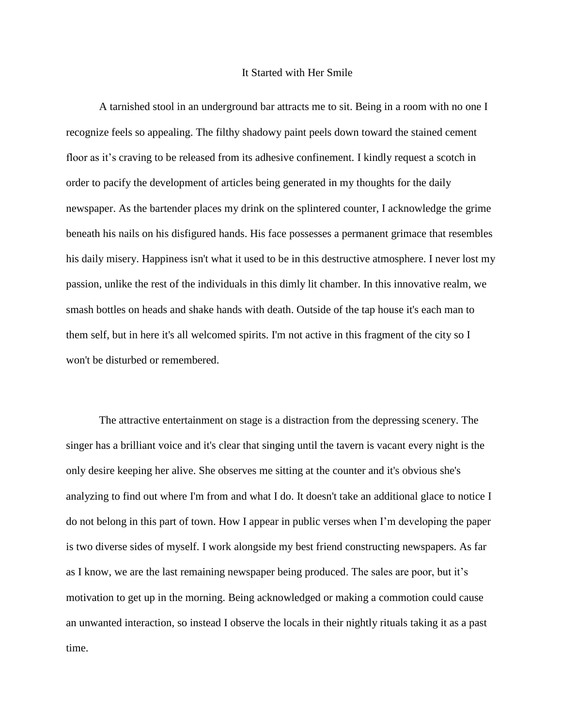## It Started with Her Smile

A tarnished stool in an underground bar attracts me to sit. Being in a room with no one I recognize feels so appealing. The filthy shadowy paint peels down toward the stained cement floor as it's craving to be released from its adhesive confinement. I kindly request a scotch in order to pacify the development of articles being generated in my thoughts for the daily newspaper. As the bartender places my drink on the splintered counter, I acknowledge the grime beneath his nails on his disfigured hands. His face possesses a permanent grimace that resembles his daily misery. Happiness isn't what it used to be in this destructive atmosphere. I never lost my passion, unlike the rest of the individuals in this dimly lit chamber. In this innovative realm, we smash bottles on heads and shake hands with death. Outside of the tap house it's each man to them self, but in here it's all welcomed spirits. I'm not active in this fragment of the city so I won't be disturbed or remembered.

The attractive entertainment on stage is a distraction from the depressing scenery. The singer has a brilliant voice and it's clear that singing until the tavern is vacant every night is the only desire keeping her alive. She observes me sitting at the counter and it's obvious she's analyzing to find out where I'm from and what I do. It doesn't take an additional glace to notice I do not belong in this part of town. How I appear in public verses when I'm developing the paper is two diverse sides of myself. I work alongside my best friend constructing newspapers. As far as I know, we are the last remaining newspaper being produced. The sales are poor, but it's motivation to get up in the morning. Being acknowledged or making a commotion could cause an unwanted interaction, so instead I observe the locals in their nightly rituals taking it as a past time.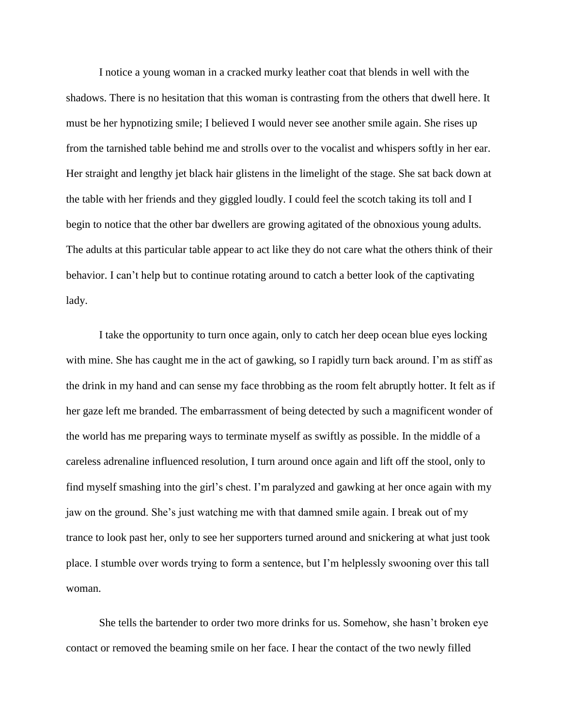I notice a young woman in a cracked murky leather coat that blends in well with the shadows. There is no hesitation that this woman is contrasting from the others that dwell here. It must be her hypnotizing smile; I believed I would never see another smile again. She rises up from the tarnished table behind me and strolls over to the vocalist and whispers softly in her ear. Her straight and lengthy jet black hair glistens in the limelight of the stage. She sat back down at the table with her friends and they giggled loudly. I could feel the scotch taking its toll and I begin to notice that the other bar dwellers are growing agitated of the obnoxious young adults. The adults at this particular table appear to act like they do not care what the others think of their behavior. I can't help but to continue rotating around to catch a better look of the captivating lady.

I take the opportunity to turn once again, only to catch her deep ocean blue eyes locking with mine. She has caught me in the act of gawking, so I rapidly turn back around. I'm as stiff as the drink in my hand and can sense my face throbbing as the room felt abruptly hotter. It felt as if her gaze left me branded. The embarrassment of being detected by such a magnificent wonder of the world has me preparing ways to terminate myself as swiftly as possible. In the middle of a careless adrenaline influenced resolution, I turn around once again and lift off the stool, only to find myself smashing into the girl's chest. I'm paralyzed and gawking at her once again with my jaw on the ground. She's just watching me with that damned smile again. I break out of my trance to look past her, only to see her supporters turned around and snickering at what just took place. I stumble over words trying to form a sentence, but I'm helplessly swooning over this tall woman.

She tells the bartender to order two more drinks for us. Somehow, she hasn't broken eye contact or removed the beaming smile on her face. I hear the contact of the two newly filled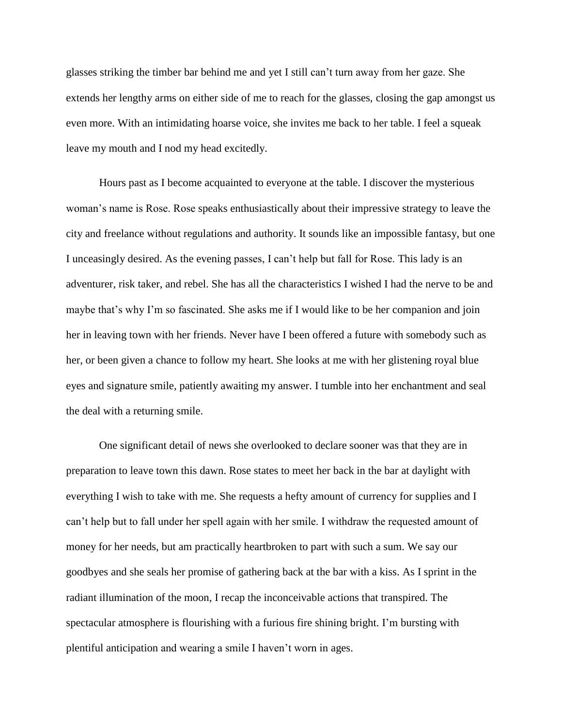glasses striking the timber bar behind me and yet I still can't turn away from her gaze. She extends her lengthy arms on either side of me to reach for the glasses, closing the gap amongst us even more. With an intimidating hoarse voice, she invites me back to her table. I feel a squeak leave my mouth and I nod my head excitedly.

 Hours past as I become acquainted to everyone at the table. I discover the mysterious woman's name is Rose. Rose speaks enthusiastically about their impressive strategy to leave the city and freelance without regulations and authority. It sounds like an impossible fantasy, but one I unceasingly desired. As the evening passes, I can't help but fall for Rose. This lady is an adventurer, risk taker, and rebel. She has all the characteristics I wished I had the nerve to be and maybe that's why I'm so fascinated. She asks me if I would like to be her companion and join her in leaving town with her friends. Never have I been offered a future with somebody such as her, or been given a chance to follow my heart. She looks at me with her glistening royal blue eyes and signature smile, patiently awaiting my answer. I tumble into her enchantment and seal the deal with a returning smile.

 One significant detail of news she overlooked to declare sooner was that they are in preparation to leave town this dawn. Rose states to meet her back in the bar at daylight with everything I wish to take with me. She requests a hefty amount of currency for supplies and I can't help but to fall under her spell again with her smile. I withdraw the requested amount of money for her needs, but am practically heartbroken to part with such a sum. We say our goodbyes and she seals her promise of gathering back at the bar with a kiss. As I sprint in the radiant illumination of the moon, I recap the inconceivable actions that transpired. The spectacular atmosphere is flourishing with a furious fire shining bright. I'm bursting with plentiful anticipation and wearing a smile I haven't worn in ages.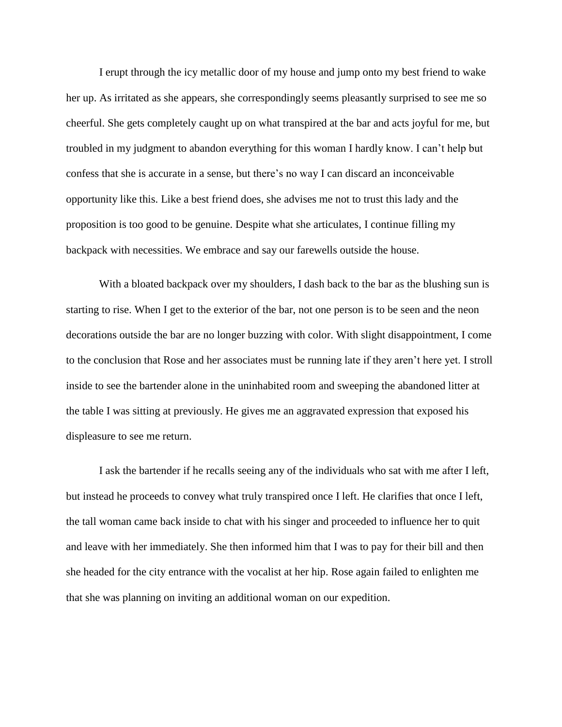I erupt through the icy metallic door of my house and jump onto my best friend to wake her up. As irritated as she appears, she correspondingly seems pleasantly surprised to see me so cheerful. She gets completely caught up on what transpired at the bar and acts joyful for me, but troubled in my judgment to abandon everything for this woman I hardly know. I can't help but confess that she is accurate in a sense, but there's no way I can discard an inconceivable opportunity like this. Like a best friend does, she advises me not to trust this lady and the proposition is too good to be genuine. Despite what she articulates, I continue filling my backpack with necessities. We embrace and say our farewells outside the house.

 With a bloated backpack over my shoulders, I dash back to the bar as the blushing sun is starting to rise. When I get to the exterior of the bar, not one person is to be seen and the neon decorations outside the bar are no longer buzzing with color. With slight disappointment, I come to the conclusion that Rose and her associates must be running late if they aren't here yet. I stroll inside to see the bartender alone in the uninhabited room and sweeping the abandoned litter at the table I was sitting at previously. He gives me an aggravated expression that exposed his displeasure to see me return.

I ask the bartender if he recalls seeing any of the individuals who sat with me after I left, but instead he proceeds to convey what truly transpired once I left. He clarifies that once I left, the tall woman came back inside to chat with his singer and proceeded to influence her to quit and leave with her immediately. She then informed him that I was to pay for their bill and then she headed for the city entrance with the vocalist at her hip. Rose again failed to enlighten me that she was planning on inviting an additional woman on our expedition.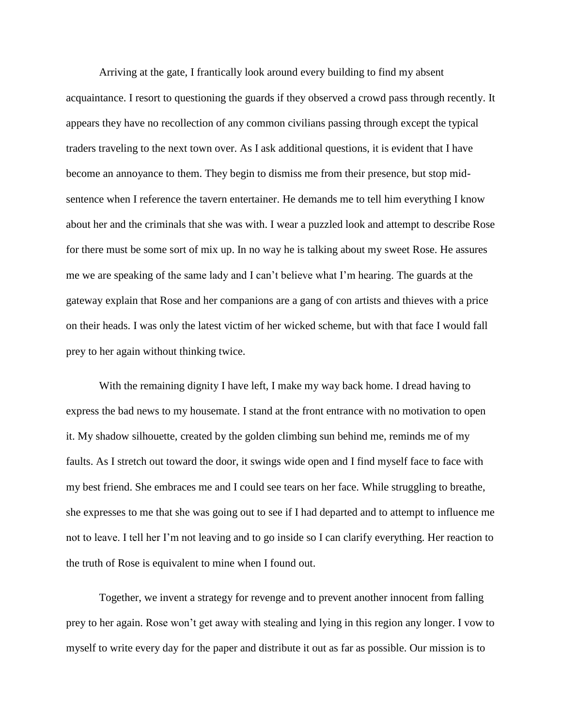Arriving at the gate, I frantically look around every building to find my absent acquaintance. I resort to questioning the guards if they observed a crowd pass through recently. It appears they have no recollection of any common civilians passing through except the typical traders traveling to the next town over. As I ask additional questions, it is evident that I have become an annoyance to them. They begin to dismiss me from their presence, but stop midsentence when I reference the tavern entertainer. He demands me to tell him everything I know about her and the criminals that she was with. I wear a puzzled look and attempt to describe Rose for there must be some sort of mix up. In no way he is talking about my sweet Rose. He assures me we are speaking of the same lady and I can't believe what I'm hearing. The guards at the gateway explain that Rose and her companions are a gang of con artists and thieves with a price on their heads. I was only the latest victim of her wicked scheme, but with that face I would fall prey to her again without thinking twice.

With the remaining dignity I have left, I make my way back home. I dread having to express the bad news to my housemate. I stand at the front entrance with no motivation to open it. My shadow silhouette, created by the golden climbing sun behind me, reminds me of my faults. As I stretch out toward the door, it swings wide open and I find myself face to face with my best friend. She embraces me and I could see tears on her face. While struggling to breathe, she expresses to me that she was going out to see if I had departed and to attempt to influence me not to leave. I tell her I'm not leaving and to go inside so I can clarify everything. Her reaction to the truth of Rose is equivalent to mine when I found out.

Together, we invent a strategy for revenge and to prevent another innocent from falling prey to her again. Rose won't get away with stealing and lying in this region any longer. I vow to myself to write every day for the paper and distribute it out as far as possible. Our mission is to